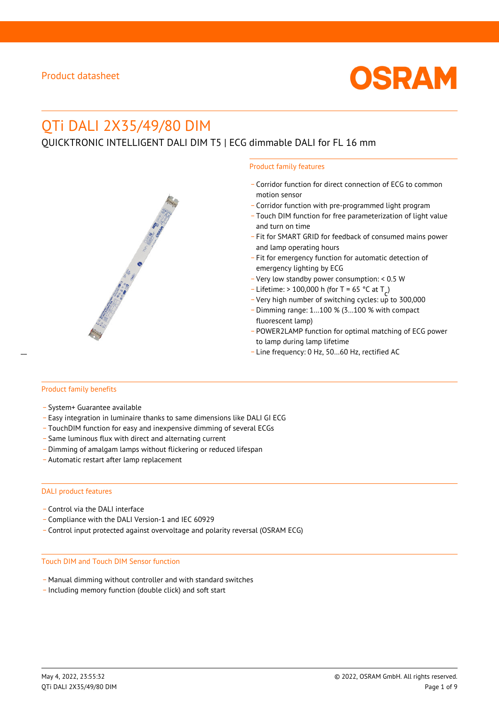

# QTi DALI 2X35/49/80 DIM

# QUICKTRONIC INTELLIGENT DALI DIM T5 | ECG dimmable DALI for FL 16 mm

#### Product family features

- \_ Corridor function for direct connection of ECG to common motion sensor
- \_ Corridor function with pre-programmed light program
- \_ Touch DIM function for free parameterization of light value and turn on time
- Fit for SMART GRID for feedback of consumed mains power and lamp operating hours
- \_ Fit for emergency function for automatic detection of emergency lighting by ECG
- \_ Very low standby power consumption: < 0.5 W
- $-$  Lifetime: > 100,000 h (for T = 65 °C at T
- Litedine. The 100,000 in (ion 1 05 ° C at  $1\frac{c^7}{c^7}$ <br>- Very high number of switching cycles: up to 300,000
- \_ Dimming range: 1…100 % (3…100 % with compact fluorescent lamp)
- POWER2LAMP function for optimal matching of ECG power to lamp during lamp lifetime
- Line frequency: 0 Hz, 50...60 Hz, rectified AC

#### Product family benefits

- \_ System+ Guarantee available
- \_ Easy integration in luminaire thanks to same dimensions like DALI GI ECG
- \_ TouchDIM function for easy and inexpensive dimming of several ECGs
- \_ Same luminous flux with direct and alternating current
- \_ Dimming of amalgam lamps without flickering or reduced lifespan
- \_ Automatic restart after lamp replacement

#### DALI product features

- Control via the DALI interface
- \_ Compliance with the DALI Version-1 and IEC 60929
- \_ Control input protected against overvoltage and polarity reversal (OSRAM ECG)

#### Touch DIM and Touch DIM Sensor function

- \_ Manual dimming without controller and with standard switches
- \_ Including memory function (double click) and soft start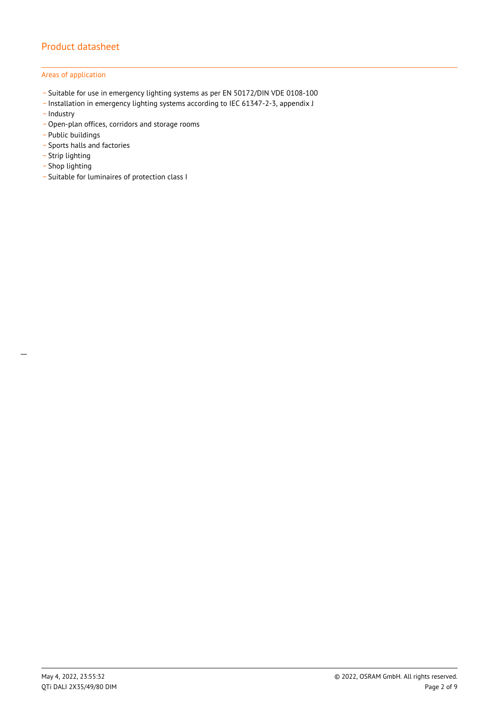## Areas of application

- \_ Suitable for use in emergency lighting systems as per EN 50172/DIN VDE 0108-100
- \_ Installation in emergency lighting systems according to IEC 61347-2-3, appendix J
- Industry
- Open-plan offices, corridors and storage rooms
- \_ Public buildings
- \_ Sports halls and factories
- .<br>- Strip lighting
- \_ Shop lighting

 $\overline{a}$ 

\_ Suitable for luminaires of protection class I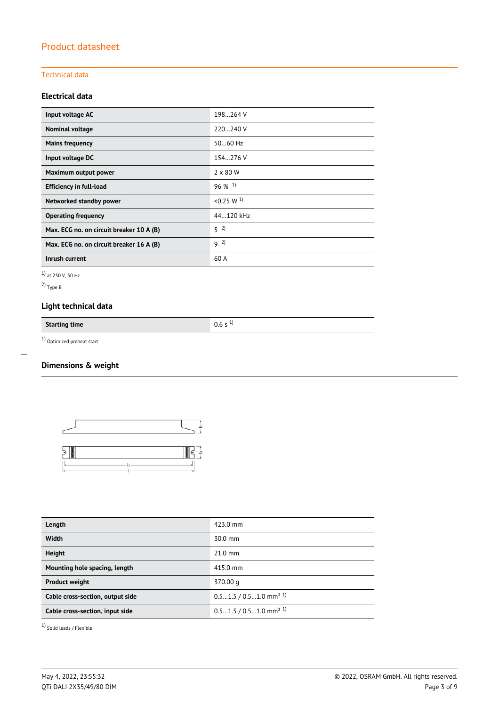## Technical data

## **Electrical data**

| Input voltage AC                         | 198264 V              |
|------------------------------------------|-----------------------|
| Nominal voltage                          | 220240 V              |
| <b>Mains frequency</b>                   | $5060$ Hz             |
| Input voltage DC                         | 154.276 V             |
| Maximum output power                     | $2 \times 80$ W       |
| <b>Efficiency in full-load</b>           | $96\%$ <sup>1)</sup>  |
| Networked standby power                  | < 0.25 W <sup>1</sup> |
| <b>Operating frequency</b>               | 44.120 kHz            |
| Max. ECG no. on circuit breaker 10 A (B) | $5^{2}$               |
| Max. ECG no. on circuit breaker 16 A (B) | $9^{2}$               |
| Inrush current                           | 60 A                  |

1) at 230 V, 50 Hz

2) Type B

 $\overline{a}$ 

# **Light technical data**

**Starting time** 0.6 s <sup>1)</sup>

1) Optimized preheat start

# **Dimensions & weight**



| Length                           | 423.0 mm                             |
|----------------------------------|--------------------------------------|
| <b>Width</b>                     | $30.0$ mm                            |
| <b>Height</b>                    | $21.0$ mm                            |
| Mounting hole spacing, length    | 415.0 mm                             |
| <b>Product weight</b>            | 370.00 g                             |
| Cable cross-section, output side | $0.51.5 / 0.51.0$ mm <sup>2 1)</sup> |
| Cable cross-section, input side  | $0.51.5 / 0.51.0$ mm <sup>2 1)</sup> |
|                                  |                                      |

1) Solid leads / Flexible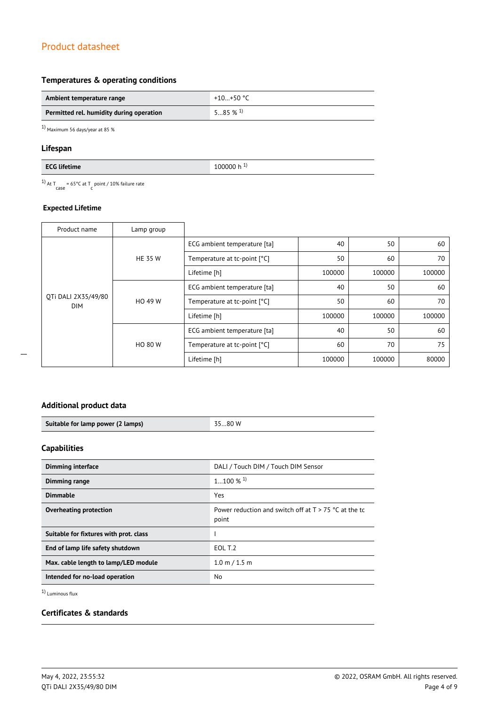## **Temperatures & operating conditions**

| Ambient temperature range                | +10+50 °C             |
|------------------------------------------|-----------------------|
| Permitted rel. humidity during operation | $585\%$ <sup>1)</sup> |

1) Maximum 56 days/year at 85 %

## **Lifespan**

<sup>1)</sup> At T<sub>case</sub> = 65°C at T<sub>c</sub> point / 10% failure rate

## **Expected Lifetime**

| Product name                      | Lamp group     |                              |        |        |        |
|-----------------------------------|----------------|------------------------------|--------|--------|--------|
| OTi DALI 2X35/49/80<br><b>DIM</b> | <b>HE 35 W</b> | ECG ambient temperature [ta] | 40     | 50     | 60     |
|                                   |                | Temperature at tc-point [°C] | 50     | 60     | 70     |
|                                   |                | Lifetime [h]                 | 100000 | 100000 | 100000 |
|                                   | HO 49 W        | ECG ambient temperature [ta] | 40     | 50     | 60     |
|                                   |                | Temperature at tc-point [°C] | 50     | 60     | 70     |
|                                   |                | Lifetime [h]                 | 100000 | 100000 | 100000 |
|                                   | <b>HO 80 W</b> | ECG ambient temperature [ta] | 40     | 50     | 60     |
|                                   |                | Temperature at tc-point [°C] | 60     | 70     | 75     |
|                                   |                | Lifetime [h]                 | 100000 | 100000 | 80000  |

## **Additional product data**

| Suitable for lamp power (2 lamps) | 3.80 W |
|-----------------------------------|--------|

## **Capabilities**

| <b>Dimming interface</b>               | DALI / Touch DIM / Touch DIM Sensor                              |
|----------------------------------------|------------------------------------------------------------------|
| Dimming range                          | $1100\%$ <sup>1)</sup>                                           |
| <b>Dimmable</b>                        | Yes                                                              |
| Overheating protection                 | Power reduction and switch off at $T > 75$ °C at the tc<br>point |
| Suitable for fixtures with prot. class |                                                                  |
| End of lamp life safety shutdown       | EOL T.2                                                          |
| Max. cable length to lamp/LED module   | $1.0 \text{ m} / 1.5 \text{ m}$                                  |
| Intended for no-load operation         | N <sub>0</sub>                                                   |

1) Luminous flux

## **Certificates & standards**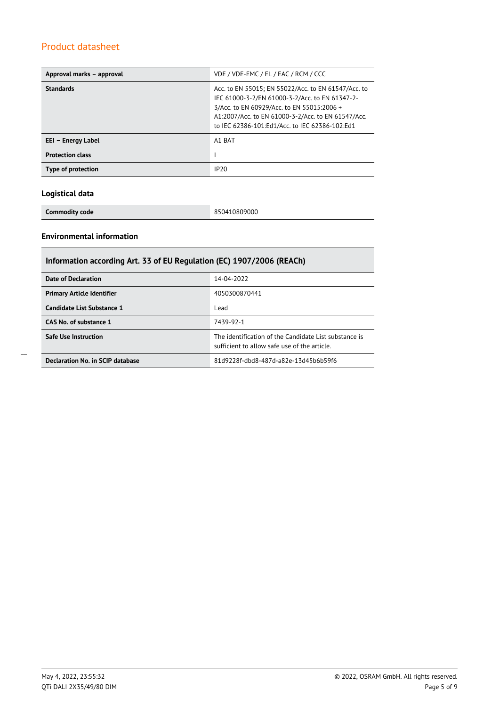| Approval marks - approval | VDE / VDE-EMC / EL / EAC / RCM / CCC                                                                                                                                                                                                                        |
|---------------------------|-------------------------------------------------------------------------------------------------------------------------------------------------------------------------------------------------------------------------------------------------------------|
| <b>Standards</b>          | Acc. to EN 55015; EN 55022/Acc. to EN 61547/Acc. to<br>IEC 61000-3-2/EN 61000-3-2/Acc. to EN 61347-2-<br>3/Acc. to EN 60929/Acc. to EN 55015:2006 +<br>A1:2007/Acc. to EN 61000-3-2/Acc. to EN 61547/Acc.<br>to IEC 62386-101:Ed1/Acc. to IEC 62386-102:Ed1 |
| EEI – Energy Label        | A1 BAT                                                                                                                                                                                                                                                      |
| <b>Protection class</b>   |                                                                                                                                                                                                                                                             |
| Type of protection        | IP20                                                                                                                                                                                                                                                        |

## **Logistical data**

**Commodity code** 850410809000

## **Environmental information**

| Information according Art. 33 of EU Regulation (EC) 1907/2006 (REACh) |                                                                                                      |  |  |
|-----------------------------------------------------------------------|------------------------------------------------------------------------------------------------------|--|--|
| Date of Declaration                                                   | 14-04-2022                                                                                           |  |  |
| <b>Primary Article Identifier</b>                                     | 4050300870441                                                                                        |  |  |
| Candidate List Substance 1                                            | Lead                                                                                                 |  |  |
| CAS No. of substance 1                                                | 7439-92-1                                                                                            |  |  |
| <b>Safe Use Instruction</b>                                           | The identification of the Candidate List substance is<br>sufficient to allow safe use of the article |  |  |
| Declaration No. in SCIP database                                      | 81d9228f-dbd8-487d-a82e-13d45b6b59f6                                                                 |  |  |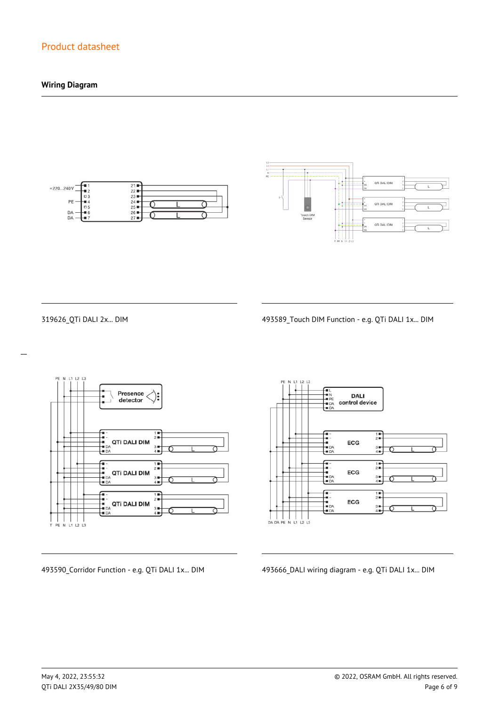## **Wiring Diagram**





 $\overline{a}$ 

319626\_QTi DALI 2x... DIM 493589\_Touch DIM Function - e.g. QTi DALI 1x... DIM



**DALI** control device  $\frac{1}{2}$ ECG  $\frac{3}{4}$  $\begin{array}{c}\n\overline{11} \\
\overline{21} \\
\overline{11}\n\end{array}$ --<br>--<br>-- DA<br>-- DA ECG  $3 +$ <br> $4 +$  $\frac{1}{2}$ --<br>--<br>-- DA<br>-- DA ECG  $3 +$ <br> $4 +$ 

493590\_Corridor Function - e.g. QTi DALI 1x... DIM 493666\_DALI wiring diagram - e.g. QTi DALI 1x... DIM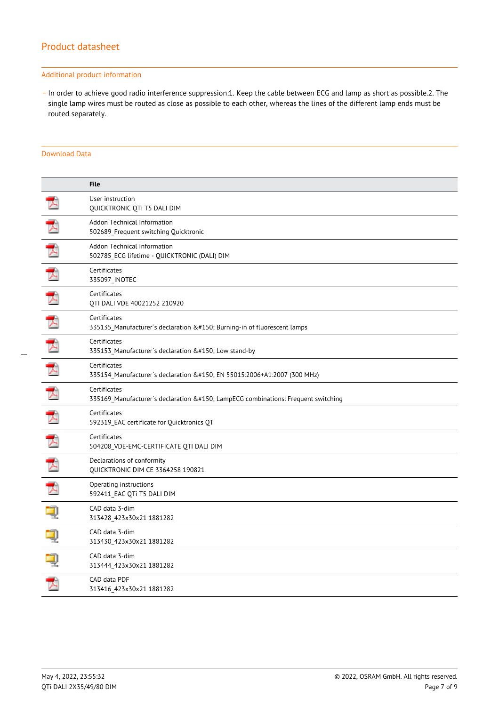#### Additional product information

\_ In order to achieve good radio interference suppression:1. Keep the cable between ECG and lamp as short as possible.2. The single lamp wires must be routed as close as possible to each other, whereas the lines of the different lamp ends must be routed separately.

### Download Data

|   | <b>File</b>                                                                                  |
|---|----------------------------------------------------------------------------------------------|
|   | User instruction<br>QUICKTRONIC QTi T5 DALI DIM                                              |
| ブ | Addon Technical Information<br>502689_Frequent switching Quicktronic                         |
| 大 | Addon Technical Information<br>502785 ECG lifetime - QUICKTRONIC (DALI) DIM                  |
| 大 | Certificates<br>335097_INOTEC                                                                |
|   | Certificates<br>QTI DALI VDE 40021252 210920                                                 |
|   | Certificates<br>335135 Manufacturer's declaration – Burning-in of fluorescent lamps          |
| 丈 | Certificates<br>335153 Manufacturer's declaration – Low stand-by                             |
| 玉 | Certificates<br>335154 Manufacturer's declaration – EN 55015:2006+A1:2007 (300 MHz)          |
| プ | Certificates<br>335169 Manufacturer's declaration – LampECG combinations: Frequent switching |
| 工 | Certificates<br>592319 EAC certificate for Quicktronics QT                                   |
| 了 | Certificates<br>504208_VDE-EMC-CERTIFICATE QTI DALI DIM                                      |
| 飞 | Declarations of conformity<br><b>QUICKTRONIC DIM CE 3364258 190821</b>                       |
| 人 | Operating instructions<br>592411 EAC QTi T5 DALI DIM                                         |
|   | CAD data 3-dim<br>313428 423x30x21 1881282                                                   |
|   | CAD data 3-dim<br>313430_423x30x21 1881282                                                   |
|   | CAD data 3-dim<br>313444_423x30x21 1881282                                                   |
|   | CAD data PDF<br>313416 423x30x21 1881282                                                     |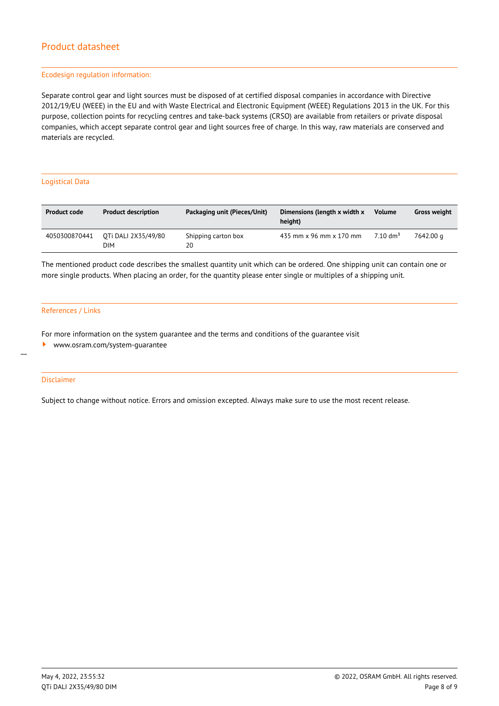#### Ecodesign regulation information:

Separate control gear and light sources must be disposed of at certified disposal companies in accordance with Directive 2012/19/EU (WEEE) in the EU and with Waste Electrical and Electronic Equipment (WEEE) Regulations 2013 in the UK. For this purpose, collection points for recycling centres and take-back systems (CRSO) are available from retailers or private disposal companies, which accept separate control gear and light sources free of charge. In this way, raw materials are conserved and materials are recycled.

#### Logistical Data

| <b>Product code</b> | <b>Product description</b> | Packaging unit (Pieces/Unit) | Dimensions (length x width x<br>height) | <b>Volume</b>       | <b>Gross weight</b> |
|---------------------|----------------------------|------------------------------|-----------------------------------------|---------------------|---------------------|
| 4050300870441       | OTi DALI 2X35/49/80<br>DIM | Shipping carton box<br>20    | 435 mm x 96 mm x 170 mm                 | $7.10 \text{ dm}^3$ | 7642.00 a           |

The mentioned product code describes the smallest quantity unit which can be ordered. One shipping unit can contain one or more single products. When placing an order, for the quantity please enter single or multiples of a shipping unit.

#### References / Links

For more information on the system guarantee and the terms and conditions of the guarantee visit

<www.osram.com/system-guarantee>

#### Disclaimer

 $\overline{a}$ 

Subject to change without notice. Errors and omission excepted. Always make sure to use the most recent release.